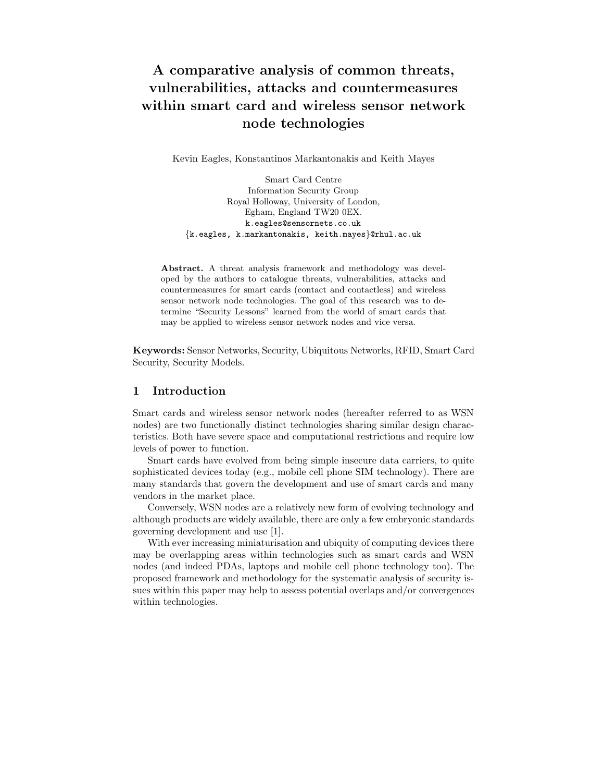# A comparative analysis of common threats, vulnerabilities, attacks and countermeasures within smart card and wireless sensor network node technologies

Kevin Eagles, Konstantinos Markantonakis and Keith Mayes

Smart Card Centre Information Security Group Royal Holloway, University of London, Egham, England TW20 0EX. k.eagles@sensornets.co.uk {k.eagles, k.markantonakis, keith.mayes}@rhul.ac.uk

Abstract. A threat analysis framework and methodology was developed by the authors to catalogue threats, vulnerabilities, attacks and countermeasures for smart cards (contact and contactless) and wireless sensor network node technologies. The goal of this research was to determine "Security Lessons" learned from the world of smart cards that may be applied to wireless sensor network nodes and vice versa.

Keywords: Sensor Networks, Security, Ubiquitous Networks, RFID, Smart Card Security, Security Models.

### 1 Introduction

Smart cards and wireless sensor network nodes (hereafter referred to as WSN nodes) are two functionally distinct technologies sharing similar design characteristics. Both have severe space and computational restrictions and require low levels of power to function.

Smart cards have evolved from being simple insecure data carriers, to quite sophisticated devices today (e.g., mobile cell phone SIM technology). There are many standards that govern the development and use of smart cards and many vendors in the market place.

Conversely, WSN nodes are a relatively new form of evolving technology and although products are widely available, there are only a few embryonic standards governing development and use [1].

With ever increasing miniaturisation and ubiquity of computing devices there may be overlapping areas within technologies such as smart cards and WSN nodes (and indeed PDAs, laptops and mobile cell phone technology too). The proposed framework and methodology for the systematic analysis of security issues within this paper may help to assess potential overlaps and/or convergences within technologies.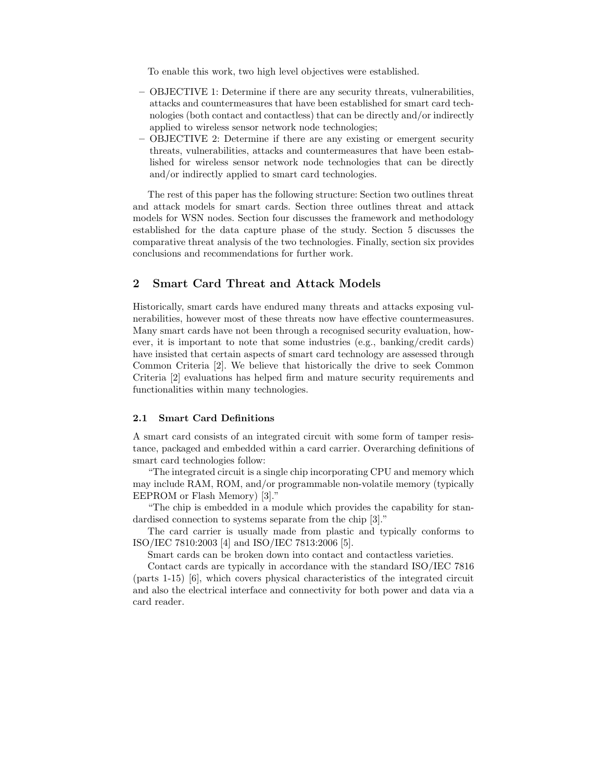To enable this work, two high level objectives were established.

- OBJECTIVE 1: Determine if there are any security threats, vulnerabilities, attacks and countermeasures that have been established for smart card technologies (both contact and contactless) that can be directly and/or indirectly applied to wireless sensor network node technologies;
- OBJECTIVE 2: Determine if there are any existing or emergent security threats, vulnerabilities, attacks and countermeasures that have been established for wireless sensor network node technologies that can be directly and/or indirectly applied to smart card technologies.

The rest of this paper has the following structure: Section two outlines threat and attack models for smart cards. Section three outlines threat and attack models for WSN nodes. Section four discusses the framework and methodology established for the data capture phase of the study. Section 5 discusses the comparative threat analysis of the two technologies. Finally, section six provides conclusions and recommendations for further work.

# 2 Smart Card Threat and Attack Models

Historically, smart cards have endured many threats and attacks exposing vulnerabilities, however most of these threats now have effective countermeasures. Many smart cards have not been through a recognised security evaluation, however, it is important to note that some industries (e.g., banking/credit cards) have insisted that certain aspects of smart card technology are assessed through Common Criteria [2]. We believe that historically the drive to seek Common Criteria [2] evaluations has helped firm and mature security requirements and functionalities within many technologies.

### 2.1 Smart Card Definitions

A smart card consists of an integrated circuit with some form of tamper resistance, packaged and embedded within a card carrier. Overarching definitions of smart card technologies follow:

"The integrated circuit is a single chip incorporating CPU and memory which may include RAM, ROM, and/or programmable non-volatile memory (typically EEPROM or Flash Memory) [3]."

"The chip is embedded in a module which provides the capability for standardised connection to systems separate from the chip [3]."

The card carrier is usually made from plastic and typically conforms to ISO/IEC 7810:2003 [4] and ISO/IEC 7813:2006 [5].

Smart cards can be broken down into contact and contactless varieties.

Contact cards are typically in accordance with the standard ISO/IEC 7816 (parts 1-15) [6], which covers physical characteristics of the integrated circuit and also the electrical interface and connectivity for both power and data via a card reader.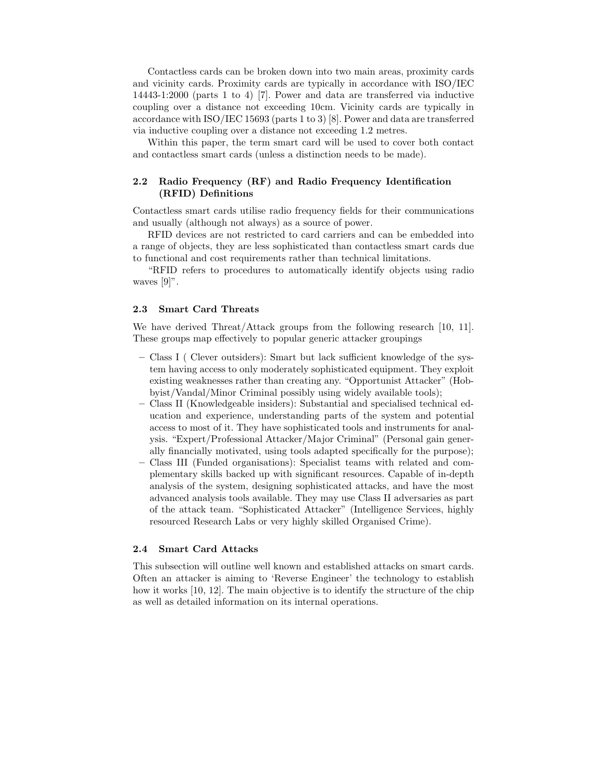Contactless cards can be broken down into two main areas, proximity cards and vicinity cards. Proximity cards are typically in accordance with ISO/IEC 14443-1:2000 (parts 1 to 4) [7]. Power and data are transferred via inductive coupling over a distance not exceeding 10cm. Vicinity cards are typically in accordance with ISO/IEC 15693 (parts 1 to 3) [8]. Power and data are transferred via inductive coupling over a distance not exceeding 1.2 metres.

Within this paper, the term smart card will be used to cover both contact and contactless smart cards (unless a distinction needs to be made).

### 2.2 Radio Frequency (RF) and Radio Frequency Identification (RFID) Definitions

Contactless smart cards utilise radio frequency fields for their communications and usually (although not always) as a source of power.

RFID devices are not restricted to card carriers and can be embedded into a range of objects, they are less sophisticated than contactless smart cards due to functional and cost requirements rather than technical limitations.

"RFID refers to procedures to automatically identify objects using radio waves  $[9]$ ".

### 2.3 Smart Card Threats

We have derived Threat/Attack groups from the following research [10, 11]. These groups map effectively to popular generic attacker groupings

- Class I ( Clever outsiders): Smart but lack sufficient knowledge of the system having access to only moderately sophisticated equipment. They exploit existing weaknesses rather than creating any. "Opportunist Attacker" (Hobbyist/Vandal/Minor Criminal possibly using widely available tools);
- Class II (Knowledgeable insiders): Substantial and specialised technical education and experience, understanding parts of the system and potential access to most of it. They have sophisticated tools and instruments for analysis. "Expert/Professional Attacker/Major Criminal" (Personal gain generally financially motivated, using tools adapted specifically for the purpose);
- Class III (Funded organisations): Specialist teams with related and complementary skills backed up with significant resources. Capable of in-depth analysis of the system, designing sophisticated attacks, and have the most advanced analysis tools available. They may use Class II adversaries as part of the attack team. "Sophisticated Attacker" (Intelligence Services, highly resourced Research Labs or very highly skilled Organised Crime).

### 2.4 Smart Card Attacks

This subsection will outline well known and established attacks on smart cards. Often an attacker is aiming to 'Reverse Engineer' the technology to establish how it works [10, 12]. The main objective is to identify the structure of the chip as well as detailed information on its internal operations.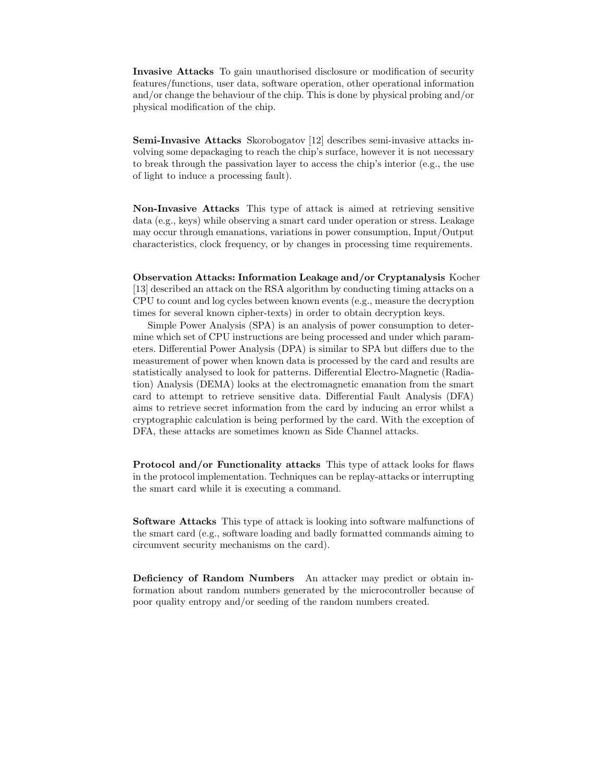Invasive Attacks To gain unauthorised disclosure or modification of security features/functions, user data, software operation, other operational information and/or change the behaviour of the chip. This is done by physical probing and/or physical modification of the chip.

Semi-Invasive Attacks Skorobogatov [12] describes semi-invasive attacks involving some depackaging to reach the chip's surface, however it is not necessary to break through the passivation layer to access the chip's interior (e.g., the use of light to induce a processing fault).

Non-Invasive Attacks This type of attack is aimed at retrieving sensitive data (e.g., keys) while observing a smart card under operation or stress. Leakage may occur through emanations, variations in power consumption, Input/Output characteristics, clock frequency, or by changes in processing time requirements.

Observation Attacks: Information Leakage and/or Cryptanalysis Kocher [13] described an attack on the RSA algorithm by conducting timing attacks on a CPU to count and log cycles between known events (e.g., measure the decryption times for several known cipher-texts) in order to obtain decryption keys.

Simple Power Analysis (SPA) is an analysis of power consumption to determine which set of CPU instructions are being processed and under which parameters. Differential Power Analysis (DPA) is similar to SPA but differs due to the measurement of power when known data is processed by the card and results are statistically analysed to look for patterns. Differential Electro-Magnetic (Radiation) Analysis (DEMA) looks at the electromagnetic emanation from the smart card to attempt to retrieve sensitive data. Differential Fault Analysis (DFA) aims to retrieve secret information from the card by inducing an error whilst a cryptographic calculation is being performed by the card. With the exception of DFA, these attacks are sometimes known as Side Channel attacks.

Protocol and/or Functionality attacks This type of attack looks for flaws in the protocol implementation. Techniques can be replay-attacks or interrupting the smart card while it is executing a command.

Software Attacks This type of attack is looking into software malfunctions of the smart card (e.g., software loading and badly formatted commands aiming to circumvent security mechanisms on the card).

Deficiency of Random Numbers An attacker may predict or obtain information about random numbers generated by the microcontroller because of poor quality entropy and/or seeding of the random numbers created.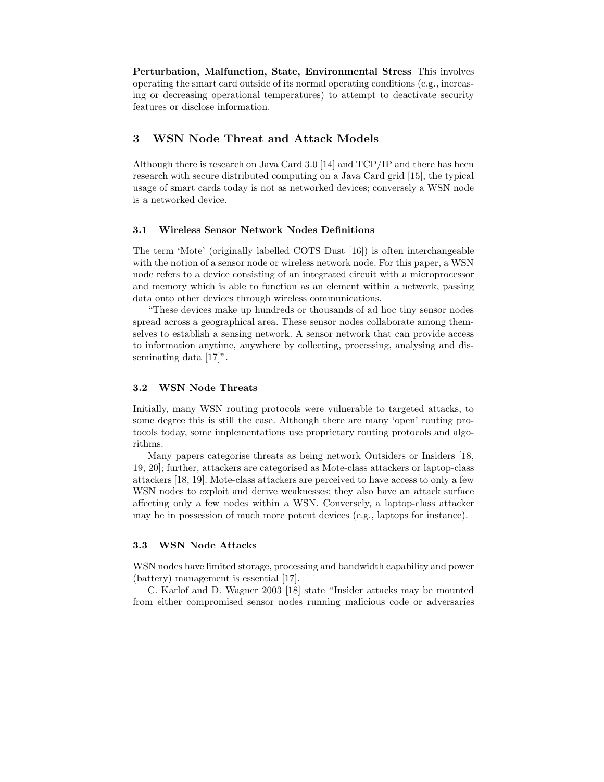Perturbation, Malfunction, State, Environmental Stress This involves operating the smart card outside of its normal operating conditions (e.g., increasing or decreasing operational temperatures) to attempt to deactivate security features or disclose information.

# 3 WSN Node Threat and Attack Models

Although there is research on Java Card 3.0 [14] and TCP/IP and there has been research with secure distributed computing on a Java Card grid [15], the typical usage of smart cards today is not as networked devices; conversely a WSN node is a networked device.

#### 3.1 Wireless Sensor Network Nodes Definitions

The term 'Mote' (originally labelled COTS Dust [16]) is often interchangeable with the notion of a sensor node or wireless network node. For this paper, a WSN node refers to a device consisting of an integrated circuit with a microprocessor and memory which is able to function as an element within a network, passing data onto other devices through wireless communications.

"These devices make up hundreds or thousands of ad hoc tiny sensor nodes spread across a geographical area. These sensor nodes collaborate among themselves to establish a sensing network. A sensor network that can provide access to information anytime, anywhere by collecting, processing, analysing and disseminating data [17]".

## 3.2 WSN Node Threats

Initially, many WSN routing protocols were vulnerable to targeted attacks, to some degree this is still the case. Although there are many 'open' routing protocols today, some implementations use proprietary routing protocols and algorithms.

Many papers categorise threats as being network Outsiders or Insiders [18, 19, 20]; further, attackers are categorised as Mote-class attackers or laptop-class attackers [18, 19]. Mote-class attackers are perceived to have access to only a few WSN nodes to exploit and derive weaknesses; they also have an attack surface affecting only a few nodes within a WSN. Conversely, a laptop-class attacker may be in possession of much more potent devices (e.g., laptops for instance).

### 3.3 WSN Node Attacks

WSN nodes have limited storage, processing and bandwidth capability and power (battery) management is essential [17].

C. Karlof and D. Wagner 2003 [18] state "Insider attacks may be mounted from either compromised sensor nodes running malicious code or adversaries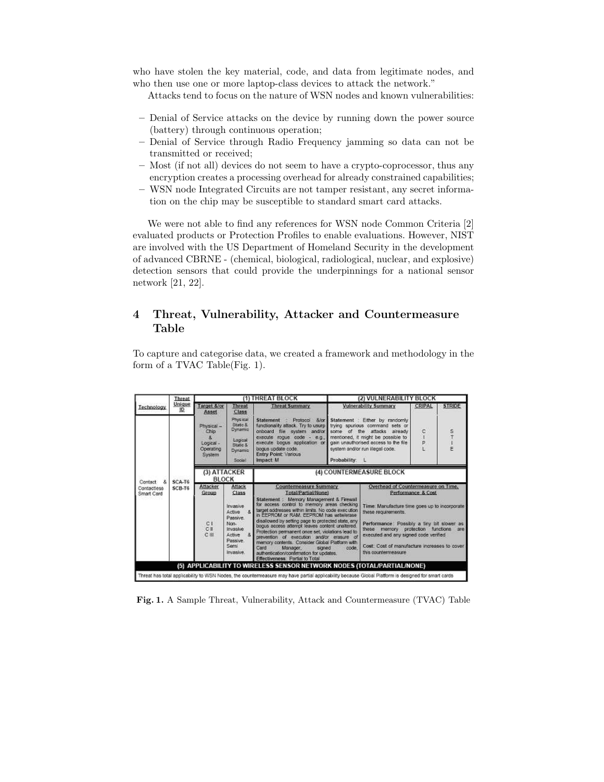who have stolen the key material, code, and data from legitimate nodes, and who then use one or more laptop-class devices to attack the network."

Attacks tend to focus on the nature of WSN nodes and known vulnerabilities:

- Denial of Service attacks on the device by running down the power source (battery) through continuous operation;
- Denial of Service through Radio Frequency jamming so data can not be transmitted or received;
- Most (if not all) devices do not seem to have a crypto-coprocessor, thus any encryption creates a processing overhead for already constrained capabilities;
- WSN node Integrated Circuits are not tamper resistant, any secret information on the chip may be susceptible to standard smart card attacks.

We were not able to find any references for WSN node Common Criteria [2] evaluated products or Protection Profiles to enable evaluations. However, NIST are involved with the US Department of Homeland Security in the development of advanced CBRNE - (chemical, biological, radiological, nuclear, and explosive) detection sensors that could provide the underpinnings for a national sensor network [21, 22].

# 4 Threat, Vulnerability, Attacker and Countermeasure Table

To capture and categorise data, we created a framework and methodology in the form of a TVAC Table(Fig. 1).

|                           | Threat<br>Unique<br>ID | (1) THREAT BLOCK                                      |                                                                                                    |                                                                                                                                                                                                                                                                                                                                                                                                                                                                                                                                                                                                                                   | (2) VULNERABILITY BLOCK |                                                                                                                                                                                                                                                                                 |        |               |
|---------------------------|------------------------|-------------------------------------------------------|----------------------------------------------------------------------------------------------------|-----------------------------------------------------------------------------------------------------------------------------------------------------------------------------------------------------------------------------------------------------------------------------------------------------------------------------------------------------------------------------------------------------------------------------------------------------------------------------------------------------------------------------------------------------------------------------------------------------------------------------------|-------------------------|---------------------------------------------------------------------------------------------------------------------------------------------------------------------------------------------------------------------------------------------------------------------------------|--------|---------------|
| Technology                |                        | Target & or<br>Asset                                  | Threat<br>Class                                                                                    | <b>Threat Summary</b>                                                                                                                                                                                                                                                                                                                                                                                                                                                                                                                                                                                                             |                         | <b>Vulnerability Summary</b>                                                                                                                                                                                                                                                    | CRIPAL | <b>STRIDE</b> |
|                           | SCA-T6<br>SCB-T6       | Physical -<br>Chip<br>Logical-<br>Operating<br>System | Physical<br>Stato &<br>Dynamic<br>Logical<br>Static &<br>Dynamic<br>Social                         | <b>Statement</b><br>functionality attack. Try to usurp I trying spurious command sets or<br>basedro<br>file system and/or<br>roque code - e.g.,<br>execute.<br>execute bogus application or<br>boque update code<br>Entry Point: Various<br>Impact: M                                                                                                                                                                                                                                                                                                                                                                             | some of<br>Probability: | Protocol &/or Statement : Either by randomly<br>attacks aiready<br>the<br>mentioned, it might be possible to<br>gain unauthorised access to the file<br>system and/or run illegal code.                                                                                         | с<br>p | e o           |
| Contact<br>×              |                        | (3) ATTACKER<br><b>BLOCK</b>                          |                                                                                                    | (4) COUNTERMEASURE BLOCK                                                                                                                                                                                                                                                                                                                                                                                                                                                                                                                                                                                                          |                         |                                                                                                                                                                                                                                                                                 |        |               |
| Contactiess<br>Smart Card |                        | Attacker<br>Group                                     | Attack<br>Class                                                                                    | Countermeasure Summary<br><b>Total/Partial/Nonel</b><br>Statement : Memory Management & Firewall<br>for access control to memory areas checking<br>target addresses within limits. No code execution<br>in EEPROM or RAM. EEPROM has writelerase<br>disallowed by setting page to protected state, any<br>bogus access attempt leaves content unaltered.<br>Protection permanent once set, violations lead to<br>prevention of execution and/or erasure of<br>memory contents. Consider Global Platform with<br>Card<br>Manager.<br>signed<br>code<br>authentication/confirmation for updates.<br>Effectiveness: Partial to Total |                         | Overhead of Countermeasure on Time,<br>Performance & Cost                                                                                                                                                                                                                       |        |               |
|                           |                        | C1<br>СI<br>C III                                     | Invasive<br>Active<br>Passive<br>Non.<br>Invasive<br>Active<br><b>Passive</b><br>Semi<br>invasive. |                                                                                                                                                                                                                                                                                                                                                                                                                                                                                                                                                                                                                                   |                         | Time: Manufacture time goes up to incorporate<br>these requirements.<br>Performance: Possibly a tiny bit slower as<br>these memory protection<br>functions are<br>executed and any signed code verified<br>Cost: Cost of manufacture increases to cover<br>this countermeasure. |        |               |
|                           |                        |                                                       |                                                                                                    | (5) APPLICABILITY TO WIRELESS SENSOR NETWORK NODES (TOTAL/PARTIAL/NONE)                                                                                                                                                                                                                                                                                                                                                                                                                                                                                                                                                           |                         |                                                                                                                                                                                                                                                                                 |        |               |
|                           |                        |                                                       |                                                                                                    | Threat has total applicability to WSN Nodes, the countermeasure may have partial applicability because Global Platform is designed for smart cards                                                                                                                                                                                                                                                                                                                                                                                                                                                                                |                         |                                                                                                                                                                                                                                                                                 |        |               |

Fig. 1. A Sample Threat, Vulnerability, Attack and Countermeasure (TVAC) Table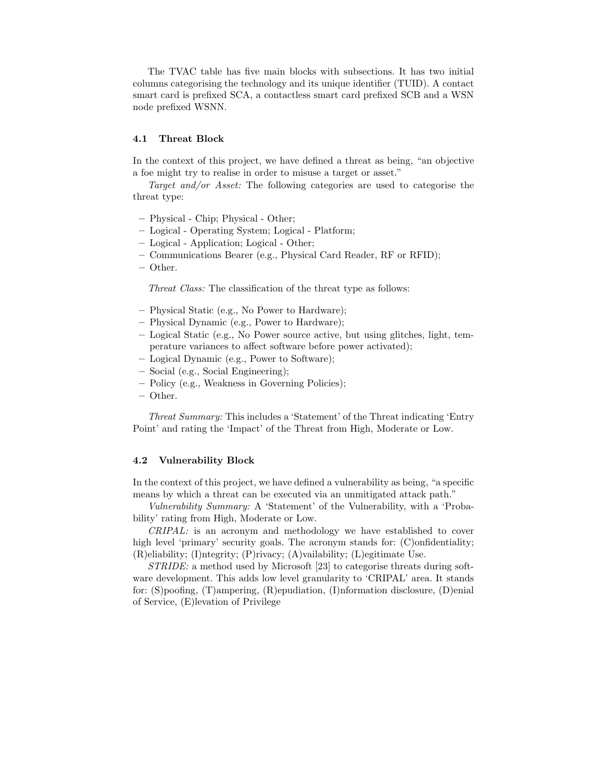The TVAC table has five main blocks with subsections. It has two initial columns categorising the technology and its unique identifier (TUID). A contact smart card is prefixed SCA, a contactless smart card prefixed SCB and a WSN node prefixed WSNN.

### 4.1 Threat Block

In the context of this project, we have defined a threat as being, "an objective a foe might try to realise in order to misuse a target or asset."

Target and/or Asset: The following categories are used to categorise the threat type:

- Physical Chip; Physical Other;
- Logical Operating System; Logical Platform;
- Logical Application; Logical Other;
- Communications Bearer (e.g., Physical Card Reader, RF or RFID);
- Other.

Threat Class: The classification of the threat type as follows:

- Physical Static (e.g., No Power to Hardware);
- Physical Dynamic (e.g., Power to Hardware);
- Logical Static (e.g., No Power source active, but using glitches, light, temperature variances to affect software before power activated);
- Logical Dynamic (e.g., Power to Software);
- Social (e.g., Social Engineering);
- Policy (e.g., Weakness in Governing Policies);
- Other.

Threat Summary: This includes a 'Statement' of the Threat indicating 'Entry Point' and rating the 'Impact' of the Threat from High, Moderate or Low.

### 4.2 Vulnerability Block

In the context of this project, we have defined a vulnerability as being, "a specific means by which a threat can be executed via an unmitigated attack path."

Vulnerability Summary: A 'Statement' of the Vulnerability, with a 'Probability' rating from High, Moderate or Low.

CRIPAL: is an acronym and methodology we have established to cover high level 'primary' security goals. The acronym stands for: (C)onfidentiality; (R)eliability; (I)ntegrity; (P)rivacy; (A)vailability; (L)egitimate Use.

STRIDE: a method used by Microsoft [23] to categorise threats during software development. This adds low level granularity to 'CRIPAL' area. It stands for: (S)poofing, (T)ampering, (R)epudiation, (I)nformation disclosure, (D)enial of Service, (E)levation of Privilege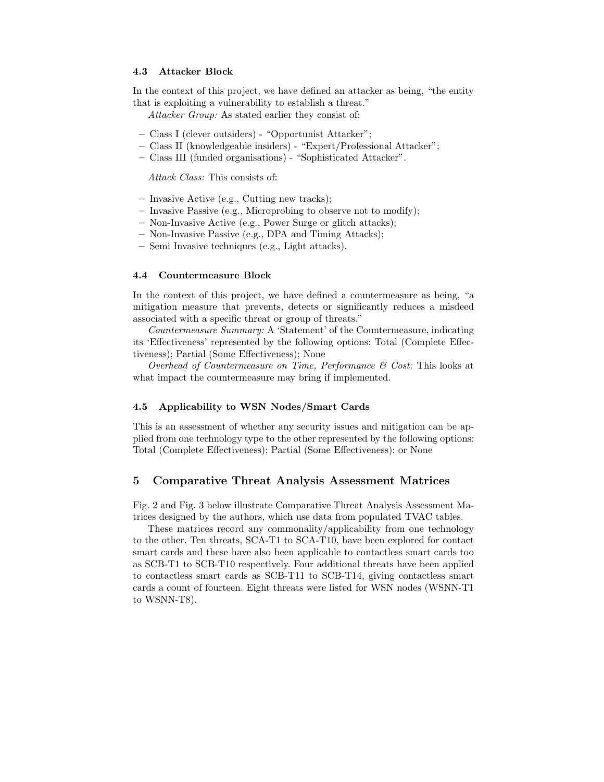### 4.3 Attacker Block

In the context of this project, we have defined an attacker as being, "the entity that is exploiting a vulnerability to establish a threat."

Attacker Group: As stated earlier they consist of:

- Class I (clever outsiders) "Opportunist Attacker";
- Class II (knowledgeable insiders) "Expert/Professional Attacker";
- Class III (funded organisations) "Sophisticated Attacker".

Attack Class: This consists of:

- Invasive Active (e.g., Cutting new tracks);
- Invasive Passive (e.g., Microprobing to observe not to modify);
- Non-Invasive Active (e.g., Power Surge or glitch attacks);
- Non-Invasive Passive (e.g., DPA and Timing Attacks);
- Semi Invasive techniques (e.g., Light attacks).

### 4.4 Countermeasure Block

In the context of this project, we have defined a countermeasure as being, "a mitigation measure that prevents, detects or significantly reduces a misdeed associated with a specific threat or group of threats."

Countermeasure Summary: A 'Statement' of the Countermeasure, indicating its 'Effectiveness' represented by the following options: Total (Complete Effectiveness); Partial (Some Effectiveness); None

Overhead of Countermeasure on Time, Performance  $\mathcal{C}$  Cost: This looks at what impact the countermeasure may bring if implemented.

#### 4.5 Applicability to WSN Nodes/Smart Cards

This is an assessment of whether any security issues and mitigation can be applied from one technology type to the other represented by the following options: Total (Complete Effectiveness); Partial (Some Effectiveness); or None

### 5 Comparative Threat Analysis Assessment Matrices

Fig. 2 and Fig. 3 below illustrate Comparative Threat Analysis Assessment Matrices designed by the authors, which use data from populated TVAC tables.

These matrices record any commonality/applicability from one technology to the other. Ten threats, SCA-T1 to SCA-T10, have been explored for contact smart cards and these have also been applicable to contactless smart cards too as SCB-T1 to SCB-T10 respectively. Four additional threats have been applied to contactless smart cards as SCB-T11 to SCB-T14, giving contactless smart cards a count of fourteen. Eight threats were listed for WSN nodes (WSNN-T1 to WSNN-T8).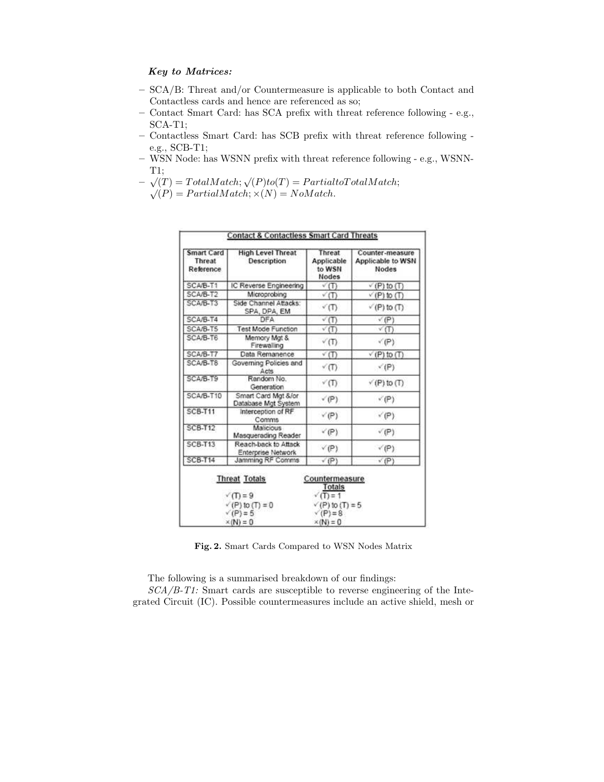### Key to Matrices:

- SCA/B: Threat and/or Countermeasure is applicable to both Contact and Contactless cards and hence are referenced as so;
- Contact Smart Card: has SCA prefix with threat reference following e.g., SCA-T1;
- Contactless Smart Card: has SCB prefix with threat reference following e.g., SCB-T1;
- WSN Node: has WSNN prefix with threat reference following e.g., WSNN-T1;
- $-\sqrt{T} = TotalMatch; \sqrt{P}to(T) = Partialbot$ 
	- $\overline{\sqrt{(P)}} = PartialMatch; \times (N) = N oMatch.$

| Smart Card<br><b>Threat</b><br>Reference | <b>High Level Threat</b><br>Description       | Threat<br>Applicable<br>to WSN<br><b>Nodes</b> | Counter-measure<br>Applicable to WSN<br><b>Nodes</b> |
|------------------------------------------|-----------------------------------------------|------------------------------------------------|------------------------------------------------------|
| SCA/B-T1                                 | IC Reverse Engineering                        | $\sqrt{T}$                                     | $\check{P}$ (P) to (T)                               |
| SCA/B-T2                                 | Microprobing                                  | $\sqrt{(1)}$                                   | $V(P)$ to $(T)$                                      |
| SCA/B-T3                                 | Side Channel Attacks:<br>SPA, DPA, EM         | $\sqrt{(1)}$                                   | $\sqrt{}$ (P) to (T)                                 |
| SCA/B-T4                                 | DFA                                           | $\sqrt{T}$                                     | $\sqrt{(P)}$                                         |
| SCA/B-T5                                 | Test Mode Function                            | $\sqrt{T}$                                     | $\sqrt{T}$                                           |
| SCA/B-T6                                 | Memory Mgt &<br>Firewalling                   | $\sqrt{T}$                                     | (P)                                                  |
| SCA/B-T7                                 | Data Remanence                                | $\sqrt{T}$                                     | $\check{P}$ (P) to (T)                               |
| SCA/B-T8                                 | Governing Policies and<br>Acts                | $\sqrt{(T)}$                                   | $\check{P}$                                          |
| SCA/B-T9                                 | Random No.<br>Generation                      | $\sqrt{(1)}$                                   | $\sqrt{(P)}$ to $(T)$                                |
| SCA/B-T10                                | Smart Card Mgt &/or<br>Database Mgt System    | $\sqrt{(P)}$                                   | $\n<$ (P)                                            |
| <b>SCB-T11</b>                           | Interception of RF<br>Comms                   | v'(P)                                          | V(P)                                                 |
| <b>SCB-T12</b>                           | <b>Malicious</b><br>Masquerading Reader       | $\langle P \rangle$                            | V(P)                                                 |
| <b>SCB-T13</b>                           | Reach-back to Attack<br>Enterprise Network    | V(P)                                           | (P)                                                  |
| <b>SCB-T14</b>                           | Jamming RF Comms                              | $\neg$ (P)                                     | $\n  (P)$                                            |
|                                          | <b>Threat Totals</b><br>$\sqrt{(T)} = 9$      | Countermeasure<br>Totals<br>$\sqrt{(T)} = 1$   |                                                      |
|                                          | $\sqrt{(P)}$ to $(T) = 0$<br>$\sqrt{(P)} = 5$ | $\sqrt{(P)}$ to $(T) = 5$<br>$V(P) = 8$        |                                                      |
|                                          | $\times$ (N) = 0                              | $\times$ (N) = 0                               |                                                      |

Fig. 2. Smart Cards Compared to WSN Nodes Matrix

The following is a summarised breakdown of our findings:

SCA/B-T1: Smart cards are susceptible to reverse engineering of the Integrated Circuit (IC). Possible countermeasures include an active shield, mesh or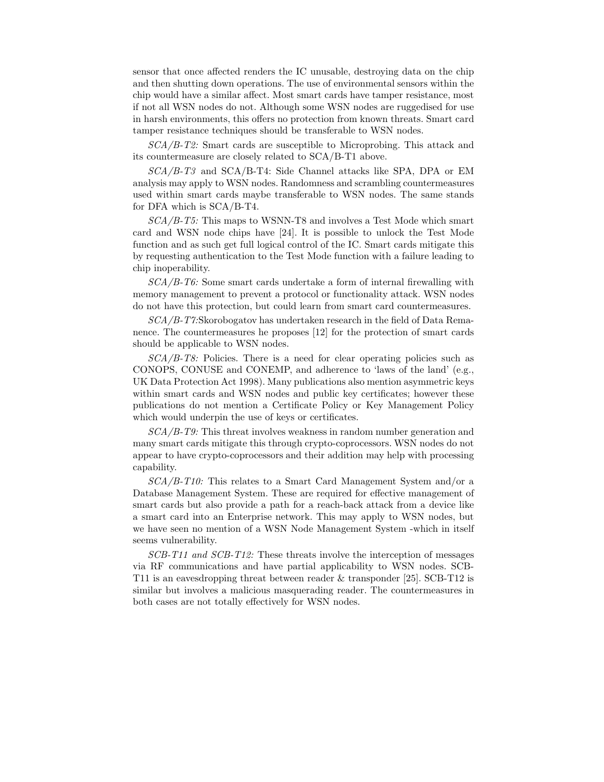sensor that once affected renders the IC unusable, destroying data on the chip and then shutting down operations. The use of environmental sensors within the chip would have a similar affect. Most smart cards have tamper resistance, most if not all WSN nodes do not. Although some WSN nodes are ruggedised for use in harsh environments, this offers no protection from known threats. Smart card tamper resistance techniques should be transferable to WSN nodes.

SCA/B-T2: Smart cards are susceptible to Microprobing. This attack and its countermeasure are closely related to SCA/B-T1 above.

SCA/B-T3 and SCA/B-T4: Side Channel attacks like SPA, DPA or EM analysis may apply to WSN nodes. Randomness and scrambling countermeasures used within smart cards maybe transferable to WSN nodes. The same stands for DFA which is SCA/B-T4.

SCA/B-T5: This maps to WSNN-T8 and involves a Test Mode which smart card and WSN node chips have [24]. It is possible to unlock the Test Mode function and as such get full logical control of the IC. Smart cards mitigate this by requesting authentication to the Test Mode function with a failure leading to chip inoperability.

SCA/B-T6: Some smart cards undertake a form of internal firewalling with memory management to prevent a protocol or functionality attack. WSN nodes do not have this protection, but could learn from smart card countermeasures.

SCA/B-T7:Skorobogatov has undertaken research in the field of Data Remanence. The countermeasures he proposes [12] for the protection of smart cards should be applicable to WSN nodes.

 $SCA/B-T8$ : Policies. There is a need for clear operating policies such as CONOPS, CONUSE and CONEMP, and adherence to 'laws of the land' (e.g., UK Data Protection Act 1998). Many publications also mention asymmetric keys within smart cards and WSN nodes and public key certificates; however these publications do not mention a Certificate Policy or Key Management Policy which would underpin the use of keys or certificates.

 $SCA/B-T9$ : This threat involves weakness in random number generation and many smart cards mitigate this through crypto-coprocessors. WSN nodes do not appear to have crypto-coprocessors and their addition may help with processing capability.

 $SCA/B-T10$ : This relates to a Smart Card Management System and/or a Database Management System. These are required for effective management of smart cards but also provide a path for a reach-back attack from a device like a smart card into an Enterprise network. This may apply to WSN nodes, but we have seen no mention of a WSN Node Management System -which in itself seems vulnerability.

SCB-T11 and SCB-T12: These threats involve the interception of messages via RF communications and have partial applicability to WSN nodes. SCB-T11 is an eavesdropping threat between reader & transponder [25]. SCB-T12 is similar but involves a malicious masquerading reader. The countermeasures in both cases are not totally effectively for WSN nodes.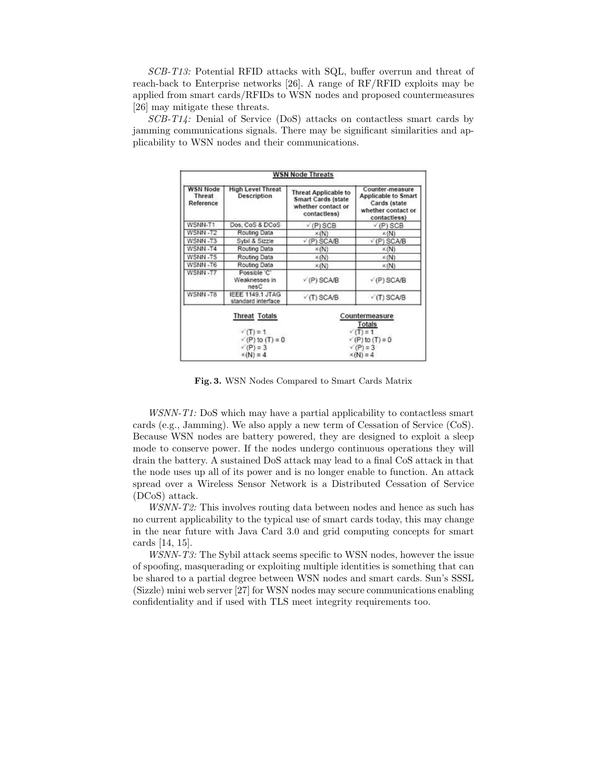SCB-T13: Potential RFID attacks with SQL, buffer overrun and threat of reach-back to Enterprise networks [26]. A range of RF/RFID exploits may be applied from smart cards/RFIDs to WSN nodes and proposed countermeasures [26] may mitigate these threats.

SCB-T14: Denial of Service (DoS) attacks on contactless smart cards by jamming communications signals. There may be significant similarities and applicability to WSN nodes and their communications.

| <b>WSN Node</b><br>Threat<br>Reference           | <b>High Level Threat</b><br>Description                           | <b>Threat Applicable to</b><br>Smart Cards (state<br>whether contact or<br>contactless) | Counter-measure<br><b>Applicable to Smart</b><br>Cards (state<br>whether contact or<br>contactless)<br>V(P) SCB |  |
|--------------------------------------------------|-------------------------------------------------------------------|-----------------------------------------------------------------------------------------|-----------------------------------------------------------------------------------------------------------------|--|
| WSNN-T1                                          | Dos, CoS & DCoS                                                   | $V(P)$ SCB                                                                              |                                                                                                                 |  |
| WSNN-T2                                          | Routing Data                                                      | ×(N)                                                                                    | $\times$ (N)                                                                                                    |  |
| WSNN-T3                                          | Sybil & Sizzle                                                    | V(P) SCAB                                                                               | V(P) SCAB                                                                                                       |  |
| WSNN-T4                                          | Routing Data                                                      | ×(N)                                                                                    | $\times$ (N)                                                                                                    |  |
| WSNN-T5                                          | Routing Data                                                      | $\times$ (N)                                                                            | $\times$ (N)                                                                                                    |  |
| WSNN-T6                                          | Routing Data                                                      | $\times$ (N)                                                                            | $\times(N)$                                                                                                     |  |
| WSNN-T7<br>Possible 'C'<br>Weaknesses in<br>nesC |                                                                   | $v(P)$ SCA/B                                                                            | V(P) SCAB                                                                                                       |  |
| WSNN-T8                                          | <b>IEEE 1149.1 JTAG</b><br>standard interface                     | $\sqrt{(T)}$ SCA/B                                                                      | $\checkmark$ (T) SCA/B                                                                                          |  |
|                                                  | <b>Threat Totals</b><br>$\sqrt{(T)} = 1$                          |                                                                                         | Countermeasure<br>Totals<br>$\sqrt{(T)} = 1$                                                                    |  |
|                                                  | $\sqrt{(P)}$ to $(T) = 0$<br>$\sqrt{(P)} = 3$<br>$\times$ (N) = 4 | $\check{P}$ (P) to (T) = 0<br>$V(P) = 3$<br>$\times(N) = 4$                             |                                                                                                                 |  |

Fig. 3. WSN Nodes Compared to Smart Cards Matrix

WSNN-T1: DoS which may have a partial applicability to contactless smart cards (e.g., Jamming). We also apply a new term of Cessation of Service (CoS). Because WSN nodes are battery powered, they are designed to exploit a sleep mode to conserve power. If the nodes undergo continuous operations they will drain the battery. A sustained DoS attack may lead to a final CoS attack in that the node uses up all of its power and is no longer enable to function. An attack spread over a Wireless Sensor Network is a Distributed Cessation of Service (DCoS) attack.

WSNN-T2: This involves routing data between nodes and hence as such has no current applicability to the typical use of smart cards today, this may change in the near future with Java Card 3.0 and grid computing concepts for smart cards [14, 15].

WSNN-T3: The Sybil attack seems specific to WSN nodes, however the issue of spoofing, masquerading or exploiting multiple identities is something that can be shared to a partial degree between WSN nodes and smart cards. Sun's SSSL (Sizzle) mini web server [27] for WSN nodes may secure communications enabling confidentiality and if used with TLS meet integrity requirements too.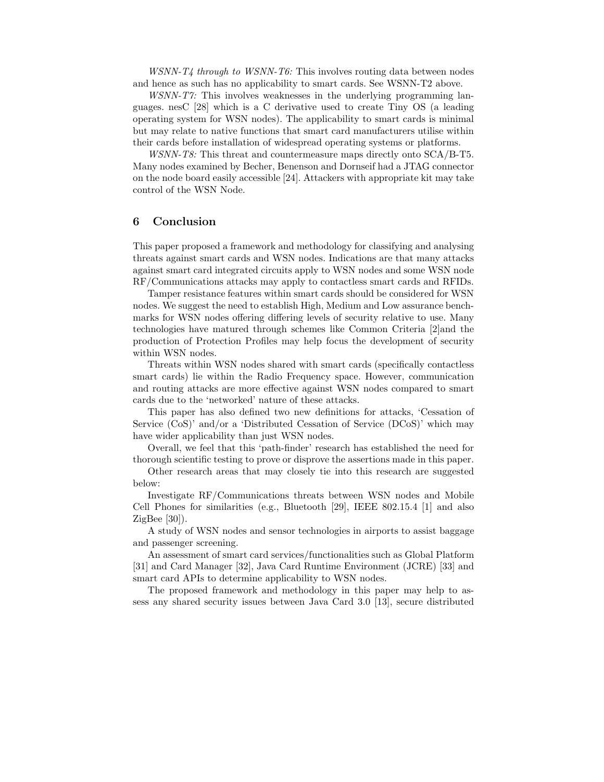WSNN-T4 through to WSNN-T6: This involves routing data between nodes and hence as such has no applicability to smart cards. See WSNN-T2 above.

WSNN-T7: This involves weaknesses in the underlying programming languages. nesC [28] which is a C derivative used to create Tiny OS (a leading operating system for WSN nodes). The applicability to smart cards is minimal but may relate to native functions that smart card manufacturers utilise within their cards before installation of widespread operating systems or platforms.

WSNN-T8: This threat and countermeasure maps directly onto SCA/B-T5. Many nodes examined by Becher, Benenson and Dornseif had a JTAG connector on the node board easily accessible [24]. Attackers with appropriate kit may take control of the WSN Node.

## 6 Conclusion

This paper proposed a framework and methodology for classifying and analysing threats against smart cards and WSN nodes. Indications are that many attacks against smart card integrated circuits apply to WSN nodes and some WSN node RF/Communications attacks may apply to contactless smart cards and RFIDs.

Tamper resistance features within smart cards should be considered for WSN nodes. We suggest the need to establish High, Medium and Low assurance benchmarks for WSN nodes offering differing levels of security relative to use. Many technologies have matured through schemes like Common Criteria [2]and the production of Protection Profiles may help focus the development of security within WSN nodes.

Threats within WSN nodes shared with smart cards (specifically contactless smart cards) lie within the Radio Frequency space. However, communication and routing attacks are more effective against WSN nodes compared to smart cards due to the 'networked' nature of these attacks.

This paper has also defined two new definitions for attacks, 'Cessation of Service (CoS)' and/or a 'Distributed Cessation of Service (DCoS)' which may have wider applicability than just WSN nodes.

Overall, we feel that this 'path-finder' research has established the need for thorough scientific testing to prove or disprove the assertions made in this paper.

Other research areas that may closely tie into this research are suggested below:

Investigate RF/Communications threats between WSN nodes and Mobile Cell Phones for similarities (e.g., Bluetooth [29], IEEE 802.15.4 [1] and also  $ZigBee$  [30]).

A study of WSN nodes and sensor technologies in airports to assist baggage and passenger screening.

An assessment of smart card services/functionalities such as Global Platform [31] and Card Manager [32], Java Card Runtime Environment (JCRE) [33] and smart card APIs to determine applicability to WSN nodes.

The proposed framework and methodology in this paper may help to assess any shared security issues between Java Card 3.0 [13], secure distributed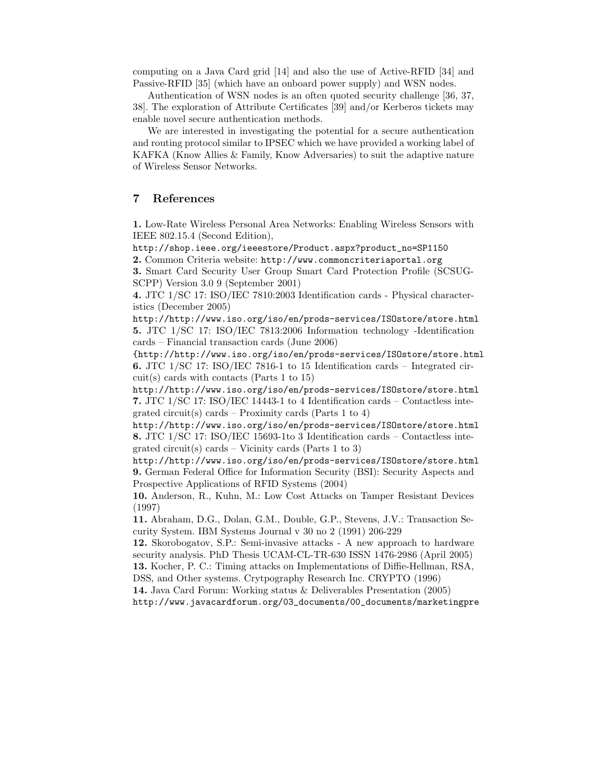computing on a Java Card grid [14] and also the use of Active-RFID [34] and Passive-RFID [35] (which have an onboard power supply) and WSN nodes.

Authentication of WSN nodes is an often quoted security challenge [36, 37, 38]. The exploration of Attribute Certificates [39] and/or Kerberos tickets may enable novel secure authentication methods.

We are interested in investigating the potential for a secure authentication and routing protocol similar to IPSEC which we have provided a working label of KAFKA (Know Allies & Family, Know Adversaries) to suit the adaptive nature of Wireless Sensor Networks.

# 7 References

1. Low-Rate Wireless Personal Area Networks: Enabling Wireless Sensors with IEEE 802.15.4 (Second Edition),

http://shop.ieee.org/ieeestore/Product.aspx?product\_no=SP1150

2. Common Criteria website: http://www.commoncriteriaportal.org

3. Smart Card Security User Group Smart Card Protection Profile (SCSUG-SCPP) Version 3.0 9 (September 2001)

4. JTC 1/SC 17: ISO/IEC 7810:2003 Identification cards - Physical characteristics (December 2005)

http://http://www.iso.org/iso/en/prods-services/ISOstore/store.html 5. JTC 1/SC 17: ISO/IEC 7813:2006 Information technology -Identification cards – Financial transaction cards (June 2006)

{http://http://www.iso.org/iso/en/prods-services/ISOstore/store.html 6. JTC 1/SC 17: ISO/IEC 7816-1 to 15 Identification cards – Integrated circuit(s) cards with contacts (Parts 1 to  $15$ )

http://http://www.iso.org/iso/en/prods-services/ISOstore/store.html 7. JTC 1/SC 17: ISO/IEC 14443-1 to 4 Identification cards – Contactless integrated circuit(s) cards – Proximity cards (Parts 1 to 4)

http://http://www.iso.org/iso/en/prods-services/ISOstore/store.html 8. JTC 1/SC 17: ISO/IEC 15693-1to 3 Identification cards – Contactless integrated circuit(s) cards – Vicinity cards (Parts 1 to 3)

http://http://www.iso.org/iso/en/prods-services/ISOstore/store.html 9. German Federal Office for Information Security (BSI): Security Aspects and Prospective Applications of RFID Systems (2004)

10. Anderson, R., Kuhn, M.: Low Cost Attacks on Tamper Resistant Devices (1997)

11. Abraham, D.G., Dolan, G.M., Double, G.P., Stevens, J.V.: Transaction Security System. IBM Systems Journal v 30 no 2 (1991) 206-229

12. Skorobogatov, S.P.: Semi-invasive attacks - A new approach to hardware security analysis. PhD Thesis UCAM-CL-TR-630 ISSN 1476-2986 (April 2005) 13. Kocher, P. C.: Timing attacks on Implementations of Diffie-Hellman, RSA, DSS, and Other systems. Crytpography Research Inc. CRYPTO (1996)

14. Java Card Forum: Working status & Deliverables Presentation (2005)

http://www.javacardforum.org/03\_documents/00\_documents/marketingpre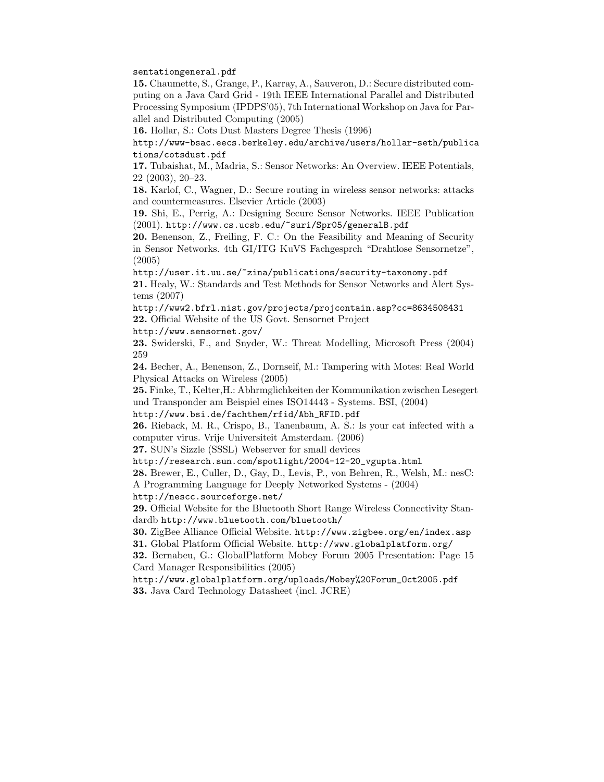sentationgeneral.pdf

15. Chaumette, S., Grange, P., Karray, A., Sauveron, D.: Secure distributed computing on a Java Card Grid - 19th IEEE International Parallel and Distributed Processing Symposium (IPDPS'05), 7th International Workshop on Java for Parallel and Distributed Computing (2005)

16. Hollar, S.: Cots Dust Masters Degree Thesis (1996)

http://www-bsac.eecs.berkeley.edu/archive/users/hollar-seth/publica tions/cotsdust.pdf

17. Tubaishat, M., Madria, S.: Sensor Networks: An Overview. IEEE Potentials, 22 (2003), 20–23.

18. Karlof, C., Wagner, D.: Secure routing in wireless sensor networks: attacks and countermeasures. Elsevier Article (2003)

19. Shi, E., Perrig, A.: Designing Secure Sensor Networks. IEEE Publication (2001). http://www.cs.ucsb.edu/~suri/Spr05/generalB.pdf

20. Benenson, Z., Freiling, F. C.: On the Feasibility and Meaning of Security in Sensor Networks. 4th GI/ITG KuVS Fachgesprch "Drahtlose Sensornetze", (2005)

http://user.it.uu.se/~zina/publications/security-taxonomy.pdf 21. Healy, W.: Standards and Test Methods for Sensor Networks and Alert Systems (2007)

http://www2.bfrl.nist.gov/projects/projcontain.asp?cc=8634508431 22. Official Website of the US Govt. Sensornet Project

http://www.sensornet.gov/

23. Swiderski, F., and Snyder, W.: Threat Modelling, Microsoft Press (2004) 259

24. Becher, A., Benenson, Z., Dornseif, M.: Tampering with Motes: Real World Physical Attacks on Wireless (2005)

25. Finke, T., Kelter,H.: Abhrmglichkeiten der Kommunikation zwischen Lesegert und Transponder am Beispiel eines ISO14443 - Systems. BSI, (2004)

http://www.bsi.de/fachthem/rfid/Abh\_RFID.pdf

26. Rieback, M. R., Crispo, B., Tanenbaum, A. S.: Is your cat infected with a computer virus. Vrije Universiteit Amsterdam. (2006)

27. SUN's Sizzle (SSSL) Webserver for small devices

http://research.sun.com/spotlight/2004-12-20\_vgupta.html

28. Brewer, E., Culler, D., Gay, D., Levis, P., von Behren, R., Welsh, M.: nesC: A Programming Language for Deeply Networked Systems - (2004)

http://nescc.sourceforge.net/

29. Official Website for the Bluetooth Short Range Wireless Connectivity Standardb http://www.bluetooth.com/bluetooth/

30. ZigBee Alliance Official Website. http://www.zigbee.org/en/index.asp

31. Global Platform Official Website. http://www.globalplatform.org/

32. Bernabeu, G.: GlobalPlatform Mobey Forum 2005 Presentation: Page 15 Card Manager Responsibilities (2005)

http://www.globalplatform.org/uploads/Mobey%20Forum\_Oct2005.pdf 33. Java Card Technology Datasheet (incl. JCRE)